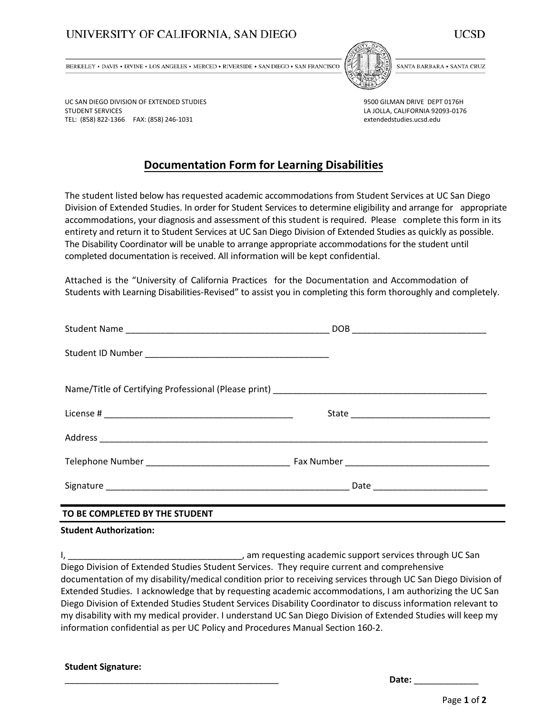## UNIVERSITY OF CALIFORNIA, SAN DIEGO



BERKELEY . DAVIS . IRVINE . LOS ANGELES . MERCED . RIVERSIDE . SAN DIEGO . SAN FRANCISCO



SANTA BARBARA . SANTA CRUZ

UC SAN DIEGO DIVISION OF EXTENDED STUDIES STUDENT SERVICES TEL: (858) 822-1366 FAX: (858) 246-1031

9500 GILMAN DRIVE DEPT 0176H LA JOLLA, CALIFORNIA 92093-0176 extendedstudies.ucsd.edu

# **Documentation Form for Learning Disabilities**

The student listed below has requested academic accommodations from Student Services at UC San Diego Division of Extended Studies. In order for Student Services to determine eligibility and arrange for appropriate accommodations, your diagnosis and assessment of this student is required. Please complete this form in its entirety and return it to Student Services at UC San Diego Division of Extended Studies as quickly as possible. The Disability Coordinator will be unable to arrange appropriate accommodations for the student until completed documentation is received. All information will be kept confidential.

Attached is the "University of California Practices for the Documentation and Accommodation of Students with Learning Disabilities-Revised" to assist you in completing this form thoroughly and completely.

| DOB |
|-----|
|     |
|     |
|     |
|     |
|     |
|     |

### **TO BE COMPLETED BY THE STUDENT**

#### **Student Authorization:**

I, \_\_\_\_\_\_\_\_\_\_\_\_\_\_\_\_\_\_\_\_\_\_\_\_\_\_\_\_\_\_\_\_\_\_\_, am requesting academic support services through UC San Diego Division of Extended Studies Student Services. They require current and comprehensive documentation of my disability/medical condition prior to receiving services through UC San Diego Division of Extended Studies. I acknowledge that by requesting academic accommodations, I am authorizing the UC San Diego Division of Extended Studies Student Services Disability Coordinator to discuss information relevant to my disability with my medical provider. I understand UC San Diego Division of Extended Studies will keep my information confidential as per UC Policy and Procedures Manual Section 160-2.

|  | <b>Student Signature:</b> |
|--|---------------------------|
|--|---------------------------|

\_\_\_\_\_\_\_\_\_\_\_\_\_\_\_\_\_\_\_\_\_\_\_\_\_\_\_\_\_\_\_\_\_\_\_\_\_\_\_\_\_\_\_ **Date:** \_\_\_\_\_\_\_\_\_\_\_\_\_